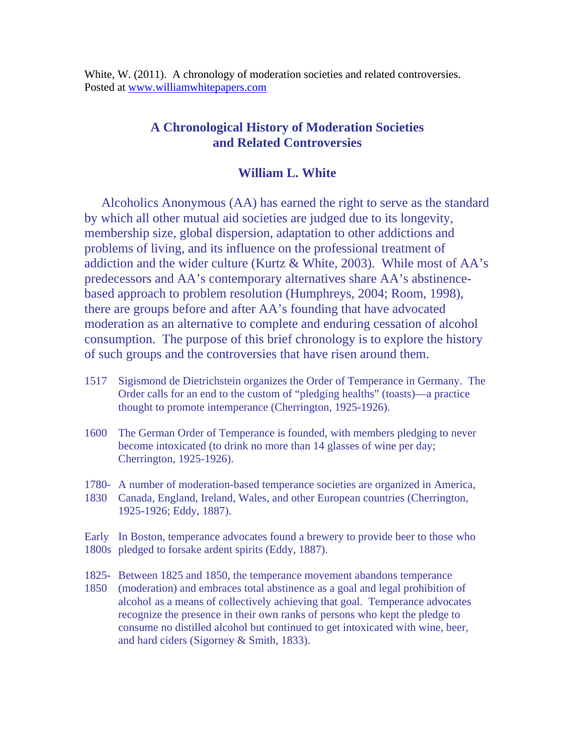White, W. (2011). A chronology of moderation societies and related controversies. Posted at [www.williamwhitepapers.com](http://www.williamwhitepapers.com/)

## **A Chronological History of Moderation Societies and Related Controversies**

## **William L. White**

Alcoholics Anonymous (AA) has earned the right to serve as the standard by which all other mutual aid societies are judged due to its longevity, membership size, global dispersion, adaptation to other addictions and problems of living, and its influence on the professional treatment of addiction and the wider culture (Kurtz & White, 2003). While most of AA's predecessors and AA's contemporary alternatives share AA's abstinencebased approach to problem resolution (Humphreys, 2004; Room, 1998), there are groups before and after AA's founding that have advocated moderation as an alternative to complete and enduring cessation of alcohol consumption. The purpose of this brief chronology is to explore the history of such groups and the controversies that have risen around them.

- 1517 Sigismond de Dietrichstein organizes the Order of Temperance in Germany. The Order calls for an end to the custom of "pledging healths" (toasts)—a practice thought to promote intemperance (Cherrington, 1925-1926).
- 1600 The German Order of Temperance is founded, with members pledging to never become intoxicated (to drink no more than 14 glasses of wine per day; Cherrington, 1925-1926).
- 1780- A number of moderation-based temperance societies are organized in America,
- 1830 Canada, England, Ireland, Wales, and other European countries (Cherrington, 1925-1926; Eddy, 1887).

Early In Boston, temperance advocates found a brewery to provide beer to those who 1800s pledged to forsake ardent spirits (Eddy, 1887).

- 1825- Between 1825 and 1850, the temperance movement abandons temperance
- 1850 (moderation) and embraces total abstinence as a goal and legal prohibition of alcohol as a means of collectively achieving that goal. Temperance advocates recognize the presence in their own ranks of persons who kept the pledge to consume no distilled alcohol but continued to get intoxicated with wine, beer, and hard ciders (Sigorney & Smith, 1833).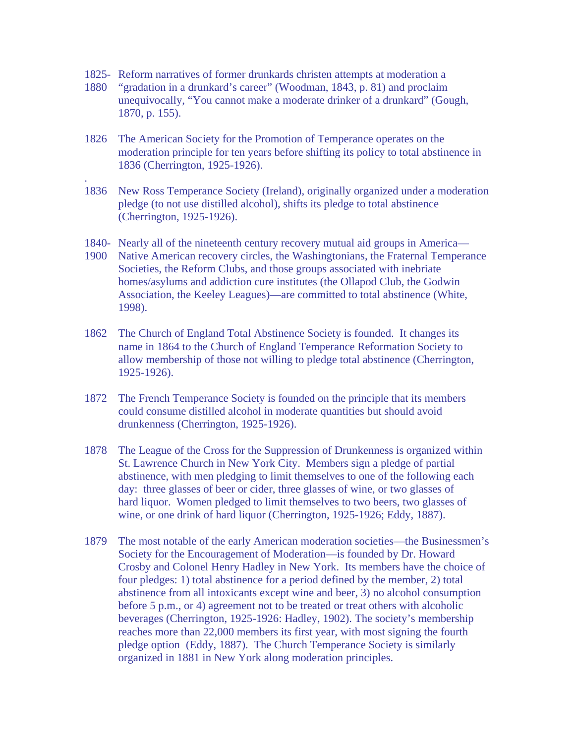1825- Reform narratives of former drunkards christen attempts at moderation a

.

- 1880 "gradation in a drunkard's career" (Woodman, 1843, p. 81) and proclaim unequivocally, "You cannot make a moderate drinker of a drunkard" (Gough, 1870, p. 155).
- 1826 The American Society for the Promotion of Temperance operates on the moderation principle for ten years before shifting its policy to total abstinence in 1836 (Cherrington, 1925-1926).
- 1836 New Ross Temperance Society (Ireland), originally organized under a moderation pledge (to not use distilled alcohol), shifts its pledge to total abstinence (Cherrington, 1925-1926).
- 1840- Nearly all of the nineteenth century recovery mutual aid groups in America—
- 1900 Native American recovery circles, the Washingtonians, the Fraternal Temperance Societies, the Reform Clubs, and those groups associated with inebriate homes/asylums and addiction cure institutes (the Ollapod Club, the Godwin Association, the Keeley Leagues)—are committed to total abstinence (White, 1998).
- 1862 The Church of England Total Abstinence Society is founded. It changes its name in 1864 to the Church of England Temperance Reformation Society to allow membership of those not willing to pledge total abstinence (Cherrington, 1925-1926).
- 1872 The French Temperance Society is founded on the principle that its members could consume distilled alcohol in moderate quantities but should avoid drunkenness (Cherrington, 1925-1926).
- 1878 The League of the Cross for the Suppression of Drunkenness is organized within St. Lawrence Church in New York City. Members sign a pledge of partial abstinence, with men pledging to limit themselves to one of the following each day: three glasses of beer or cider, three glasses of wine, or two glasses of hard liquor. Women pledged to limit themselves to two beers, two glasses of wine, or one drink of hard liquor (Cherrington, 1925-1926; Eddy, 1887).
- 1879 The most notable of the early American moderation societies—the Businessmen's Society for the Encouragement of Moderation—is founded by Dr. Howard Crosby and Colonel Henry Hadley in New York. Its members have the choice of four pledges: 1) total abstinence for a period defined by the member, 2) total abstinence from all intoxicants except wine and beer, 3) no alcohol consumption before 5 p.m., or 4) agreement not to be treated or treat others with alcoholic beverages (Cherrington, 1925-1926: Hadley, 1902). The society's membership reaches more than 22,000 members its first year, with most signing the fourth pledge option (Eddy, 1887). The Church Temperance Society is similarly organized in 1881 in New York along moderation principles.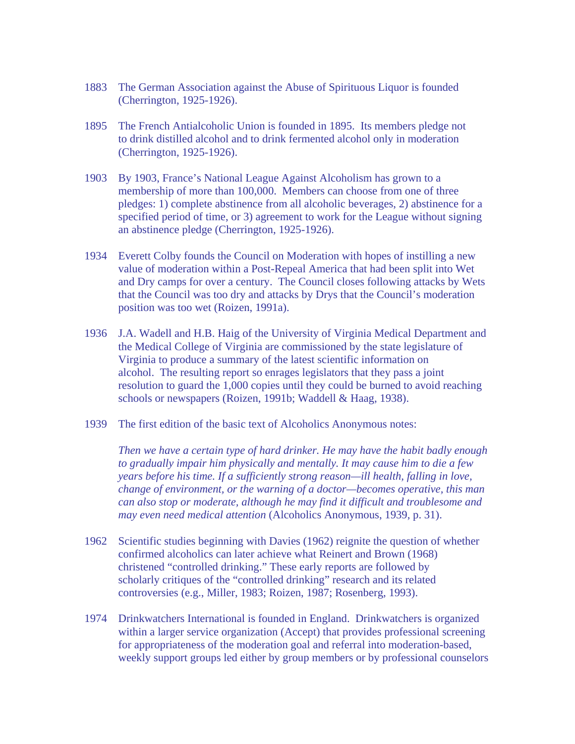- 1883 The German Association against the Abuse of Spirituous Liquor is founded (Cherrington, 1925-1926).
- 1895 The French Antialcoholic Union is founded in 1895. Its members pledge not to drink distilled alcohol and to drink fermented alcohol only in moderation (Cherrington, 1925-1926).
- 1903 By 1903, France's National League Against Alcoholism has grown to a membership of more than 100,000. Members can choose from one of three pledges: 1) complete abstinence from all alcoholic beverages, 2) abstinence for a specified period of time, or 3) agreement to work for the League without signing an abstinence pledge (Cherrington, 1925-1926).
- 1934 Everett Colby founds the Council on Moderation with hopes of instilling a new value of moderation within a Post-Repeal America that had been split into Wet and Dry camps for over a century. The Council closes following attacks by Wets that the Council was too dry and attacks by Drys that the Council's moderation position was too wet (Roizen, 1991a).
- 1936 J.A. Wadell and H.B. Haig of the University of Virginia Medical Department and the Medical College of Virginia are commissioned by the state legislature of Virginia to produce a summary of the latest scientific information on alcohol. The resulting report so enrages legislators that they pass a joint resolution to guard the 1,000 copies until they could be burned to avoid reaching schools or newspapers (Roizen, 1991b; Waddell & Haag, 1938).
- 1939 The first edition of the basic text of Alcoholics Anonymous notes:

*Then we have a certain type of hard drinker. He may have the habit badly enough to gradually impair him physically and mentally. It may cause him to die a few years before his time. If a sufficiently strong reason—ill health, falling in love, change of environment, or the warning of a doctor—becomes operative, this man can also stop or moderate, although he may find it difficult and troublesome and may even need medical attention* (Alcoholics Anonymous, 1939, p. 31).

- 1962 Scientific studies beginning with Davies (1962) reignite the question of whether confirmed alcoholics can later achieve what Reinert and Brown (1968) christened "controlled drinking." These early reports are followed by scholarly critiques of the "controlled drinking" research and its related controversies (e.g., Miller, 1983; Roizen, 1987; Rosenberg, 1993).
- 1974 Drinkwatchers International is founded in England. Drinkwatchers is organized within a larger service organization (Accept) that provides professional screening for appropriateness of the moderation goal and referral into moderation-based, weekly support groups led either by group members or by professional counselors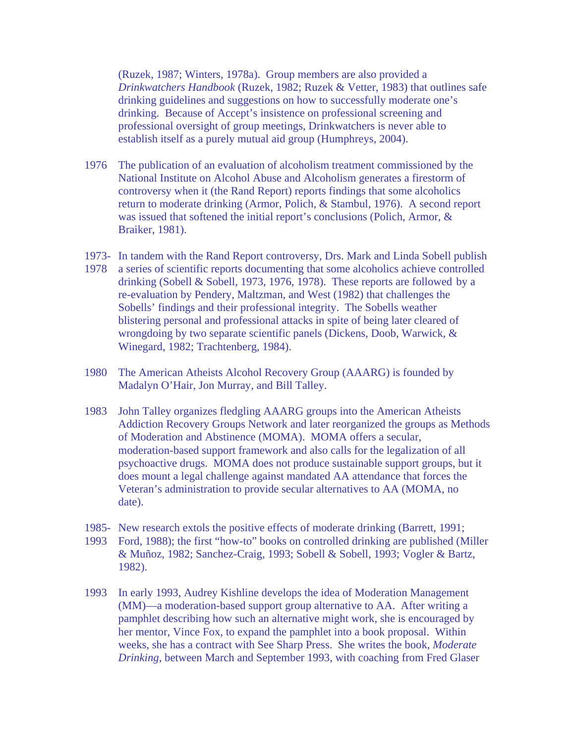(Ruzek, 1987; Winters, 1978a). Group members are also provided a *Drinkwatchers Handbook* (Ruzek, 1982; Ruzek & Vetter, 1983) that outlines safe drinking guidelines and suggestions on how to successfully moderate one's drinking. Because of Accept's insistence on professional screening and professional oversight of group meetings, Drinkwatchers is never able to establish itself as a purely mutual aid group (Humphreys, 2004).

- 1976 The publication of an evaluation of alcoholism treatment commissioned by the National Institute on Alcohol Abuse and Alcoholism generates a firestorm of controversy when it (the Rand Report) reports findings that some alcoholics return to moderate drinking (Armor, Polich, & Stambul, 1976). A second report was issued that softened the initial report's conclusions (Polich, Armor, & Braiker, 1981).
- 1973- In tandem with the Rand Report controversy, Drs. Mark and Linda Sobell publish
- 1978 a series of scientific reports documenting that some alcoholics achieve controlled drinking (Sobell & Sobell, 1973, 1976, 1978). These reports are followed by a re-evaluation by Pendery, Maltzman, and West (1982) that challenges the Sobells' findings and their professional integrity. The Sobells weather blistering personal and professional attacks in spite of being later cleared of wrongdoing by two separate scientific panels (Dickens, Doob, Warwick, & Winegard, 1982; Trachtenberg, 1984).
- 1980 The American Atheists Alcohol Recovery Group (AAARG) is founded by Madalyn O'Hair, Jon Murray, and Bill Talley.
- 1983 John Talley organizes fledgling AAARG groups into the American Atheists Addiction Recovery Groups Network and later reorganized the groups as Methods of Moderation and Abstinence (MOMA). MOMA offers a secular, moderation-based support framework and also calls for the legalization of all psychoactive drugs. MOMA does not produce sustainable support groups, but it does mount a legal challenge against mandated AA attendance that forces the Veteran's administration to provide secular alternatives to AA (MOMA, no date).
- 1985- New research extols the positive effects of moderate drinking (Barrett, 1991;
- 1993 Ford, 1988); the first "how-to" books on controlled drinking are published (Miller & Muñoz, 1982; Sanchez-Craig, 1993; Sobell & Sobell, 1993; Vogler & Bartz, 1982).
- 1993 In early 1993, Audrey Kishline develops the idea of Moderation Management (MM)—a moderation-based support group alternative to AA. After writing a pamphlet describing how such an alternative might work, she is encouraged by her mentor, Vince Fox, to expand the pamphlet into a book proposal. Within weeks, she has a contract with See Sharp Press. She writes the book, *Moderate Drinking*, between March and September 1993, with coaching from Fred Glaser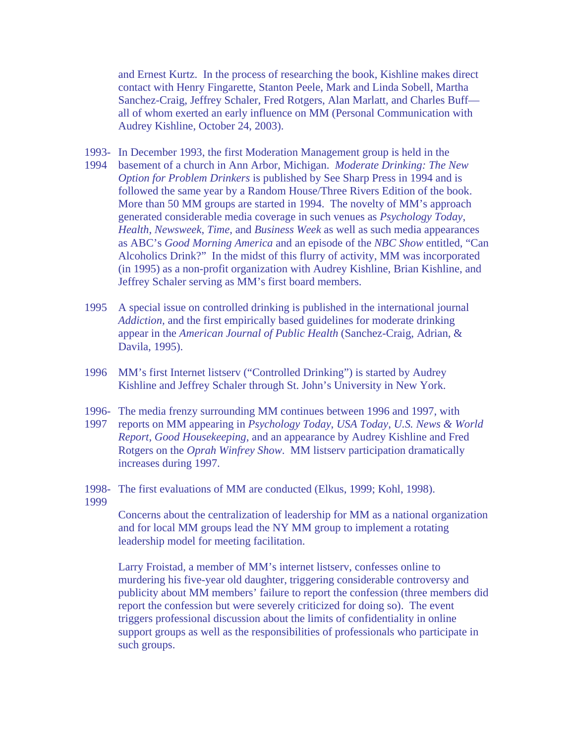and Ernest Kurtz. In the process of researching the book, Kishline makes direct contact with Henry Fingarette, Stanton Peele, Mark and Linda Sobell, Martha Sanchez-Craig, Jeffrey Schaler, Fred Rotgers, Alan Marlatt, and Charles Buff all of whom exerted an early influence on MM (Personal Communication with Audrey Kishline, October 24, 2003).

- 1993- In December 1993, the first Moderation Management group is held in the
- 1994 basement of a church in Ann Arbor, Michigan. *Moderate Drinking: The New Option for Problem Drinkers* is published by See Sharp Press in 1994 and is followed the same year by a Random House/Three Rivers Edition of the book. More than 50 MM groups are started in 1994. The novelty of MM's approach generated considerable media coverage in such venues as *Psychology Today*, *Health*, *Newsweek*, *Time*, and *Business Week* as well as such media appearances as ABC's *Good Morning America* and an episode of the *NBC Show* entitled, "Can Alcoholics Drink?" In the midst of this flurry of activity, MM was incorporated (in 1995) as a non-profit organization with Audrey Kishline, Brian Kishline, and Jeffrey Schaler serving as MM's first board members.
- 1995 A special issue on controlled drinking is published in the international journal *Addiction,* and the first empirically based guidelines for moderate drinking appear in the *American Journal of Public Health* (Sanchez-Craig, Adrian, & Davila, 1995).
- 1996 MM's first Internet listserv ("Controlled Drinking") is started by Audrey Kishline and Jeffrey Schaler through St. John's University in New York.
- 1996- The media frenzy surrounding MM continues between 1996 and 1997, with
- 1997 reports on MM appearing in *Psychology Today*, *USA Today*, *U.S. News & World Report*, *Good Housekeeping*, and an appearance by Audrey Kishline and Fred Rotgers on the *Oprah Winfrey Show*. MM listserv participation dramatically increases during 1997.
- 1998- The first evaluations of MM are conducted (Elkus, 1999; Kohl, 1998).
- 1999

 Concerns about the centralization of leadership for MM as a national organization and for local MM groups lead the NY MM group to implement a rotating leadership model for meeting facilitation.

 Larry Froistad, a member of MM's internet listserv, confesses online to murdering his five-year old daughter, triggering considerable controversy and publicity about MM members' failure to report the confession (three members did report the confession but were severely criticized for doing so). The event triggers professional discussion about the limits of confidentiality in online support groups as well as the responsibilities of professionals who participate in such groups.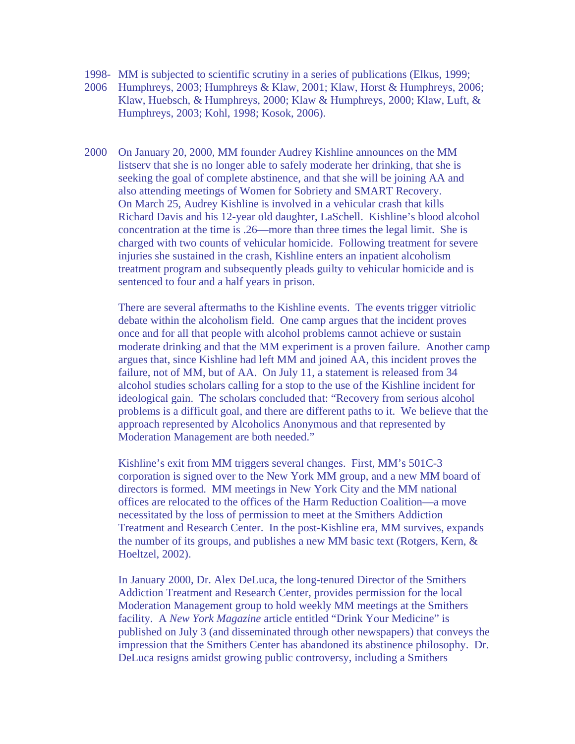- 1998- MM is subjected to scientific scrutiny in a series of publications (Elkus, 1999;
- 2006 Humphreys, 2003; Humphreys & Klaw, 2001; Klaw, Horst & Humphreys, 2006; Klaw, Huebsch, & Humphreys, 2000; Klaw & Humphreys, 2000; Klaw, Luft, & Humphreys, 2003; Kohl, 1998; Kosok, 2006).
- 2000 On January 20, 2000, MM founder Audrey Kishline announces on the MM listserv that she is no longer able to safely moderate her drinking, that she is seeking the goal of complete abstinence, and that she will be joining AA and also attending meetings of Women for Sobriety and SMART Recovery. On March 25, Audrey Kishline is involved in a vehicular crash that kills Richard Davis and his 12-year old daughter, LaSchell. Kishline's blood alcohol concentration at the time is .26—more than three times the legal limit. She is charged with two counts of vehicular homicide. Following treatment for severe injuries she sustained in the crash, Kishline enters an inpatient alcoholism treatment program and subsequently pleads guilty to vehicular homicide and is sentenced to four and a half years in prison.

There are several aftermaths to the Kishline events. The events trigger vitriolic debate within the alcoholism field. One camp argues that the incident proves once and for all that people with alcohol problems cannot achieve or sustain moderate drinking and that the MM experiment is a proven failure. Another camp argues that, since Kishline had left MM and joined AA, this incident proves the failure, not of MM, but of AA. On July 11, a statement is released from 34 alcohol studies scholars calling for a stop to the use of the Kishline incident for ideological gain. The scholars concluded that: "Recovery from serious alcohol problems is a difficult goal, and there are different paths to it. We believe that the approach represented by Alcoholics Anonymous and that represented by Moderation Management are both needed."

Kishline's exit from MM triggers several changes. First, MM's 501C-3 corporation is signed over to the New York MM group, and a new MM board of directors is formed. MM meetings in New York City and the MM national offices are relocated to the offices of the Harm Reduction Coalition—a move necessitated by the loss of permission to meet at the Smithers Addiction Treatment and Research Center. In the post-Kishline era, MM survives, expands the number of its groups, and publishes a new MM basic text (Rotgers, Kern, & Hoeltzel, 2002).

In January 2000, Dr. Alex DeLuca, the long-tenured Director of the Smithers Addiction Treatment and Research Center, provides permission for the local Moderation Management group to hold weekly MM meetings at the Smithers facility. A *New York Magazine* article entitled "Drink Your Medicine" is published on July 3 (and disseminated through other newspapers) that conveys the impression that the Smithers Center has abandoned its abstinence philosophy. Dr. DeLuca resigns amidst growing public controversy, including a Smithers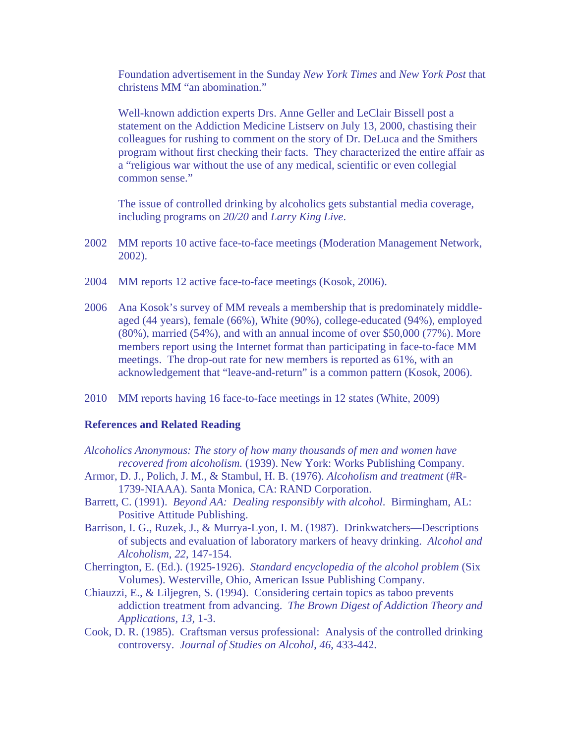Foundation advertisement in the Sunday *New York Times* and *New York Post* that christens MM "an abomination."

Well-known addiction experts Drs. Anne Geller and LeClair Bissell post a statement on the Addiction Medicine Listserv on July 13, 2000, chastising their colleagues for rushing to comment on the story of Dr. DeLuca and the Smithers program without first checking their facts. They characterized the entire affair as a "religious war without the use of any medical, scientific or even collegial common sense."

The issue of controlled drinking by alcoholics gets substantial media coverage, including programs on *20/20* and *Larry King Live*.

- 2002 MM reports 10 active face-to-face meetings (Moderation Management Network, 2002).
- 2004 MM reports 12 active face-to-face meetings (Kosok, 2006).
- 2006 Ana Kosok's survey of MM reveals a membership that is predominately middle aged (44 years), female (66%), White (90%), college-educated (94%), employed (80%), married (54%), and with an annual income of over \$50,000 (77%). More members report using the Internet format than participating in face-to-face MM meetings. The drop-out rate for new members is reported as 61%, with an acknowledgement that "leave-and-return" is a common pattern (Kosok, 2006).
- 2010 MM reports having 16 face-to-face meetings in 12 states (White, 2009)

## **References and Related Reading**

- *Alcoholics Anonymous: The story of how many thousands of men and women have recovered from alcoholism.* (1939). New York: Works Publishing Company.
- Armor, D. J., Polich, J. M., & Stambul, H. B. (1976). *Alcoholism and treatment* (#R-1739-NIAAA). Santa Monica, CA: RAND Corporation.
- Barrett, C. (1991). *Beyond AA: Dealing responsibly with alcohol*. Birmingham, AL: Positive Attitude Publishing.
- Barrison, I. G., Ruzek, J., & Murrya-Lyon, I. M. (1987). Drinkwatchers—Descriptions of subjects and evaluation of laboratory markers of heavy drinking. *Alcohol and Alcoholism*, *22*, 147-154.
- Cherrington, E. (Ed.). (1925-1926). *Standard encyclopedia of the alcohol problem* (Six Volumes). Westerville, Ohio, American Issue Publishing Company.
- Chiauzzi, E., & Liljegren, S. (1994). Considering certain topics as taboo prevents addiction treatment from advancing. *The Brown Digest of Addiction Theory and Applications, 13,* 1-3.
- Cook, D. R. (1985). Craftsman versus professional: Analysis of the controlled drinking controversy. *Journal of Studies on Alcohol*, *46*, 433-442.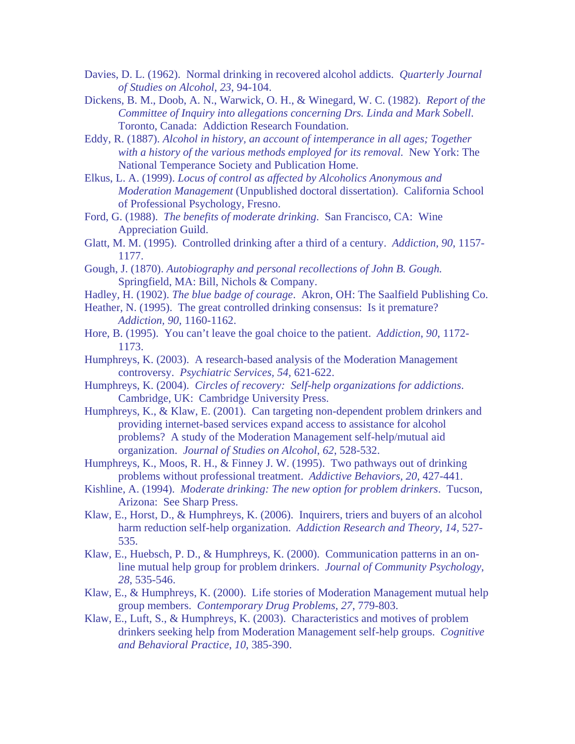- Davies, D. L. (1962). Normal drinking in recovered alcohol addicts. *Quarterly Journal of Studies on Alcohol*, *23*, 94-104.
- Dickens, B. M., Doob, A. N., Warwick, O. H., & Winegard, W. C. (1982). *Report of the Committee of Inquiry into allegations concerning Drs. Linda and Mark Sobell*. Toronto, Canada: Addiction Research Foundation.
- Eddy, R. (1887). *Alcohol in history, an account of intemperance in all ages; Together with a history of the various methods employed for its removal*. New York: The National Temperance Society and Publication Home.
- Elkus, L. A. (1999). *Locus of control as affected by Alcoholics Anonymous and Moderation Management* (Unpublished doctoral dissertation). California School of Professional Psychology, Fresno.
- Ford, G. (1988). *The benefits of moderate drinking*. San Francisco, CA: Wine Appreciation Guild.
- Glatt, M. M. (1995). Controlled drinking after a third of a century. *Addiction, 90*, 1157- 1177.
- Gough, J. (1870). *Autobiography and personal recollections of John B. Gough.* Springfield, MA: Bill, Nichols & Company.
- Hadley, H. (1902). *The blue badge of courage*. Akron, OH: The Saalfield Publishing Co.
- Heather, N. (1995). The great controlled drinking consensus: Is it premature? *Addiction, 90*, 1160-1162.
- Hore, B. (1995). You can't leave the goal choice to the patient. *Addiction*, *90*, 1172- 1173.
- Humphreys, K. (2003). A research-based analysis of the Moderation Management controversy. *Psychiatric Services, 54,* 621-622.
- Humphreys, K. (2004). *Circles of recovery: Self-help organizations for addictions*. Cambridge, UK: Cambridge University Press.
- Humphreys, K., & Klaw, E. (2001). Can targeting non-dependent problem drinkers and providing internet-based services expand access to assistance for alcohol problems? A study of the Moderation Management self-help/mutual aid organization. *Journal of Studies on Alcohol*, *62*, 528-532.
- Humphreys, K., Moos, R. H., & Finney J. W. (1995). Two pathways out of drinking problems without professional treatment. *Addictive Behaviors, 20,* 427-441.
- Kishline, A. (1994). *Moderate drinking: The new option for problem drinkers*. Tucson, Arizona: See Sharp Press.
- Klaw, E., Horst, D., & Humphreys, K. (2006). Inquirers, triers and buyers of an alcohol harm reduction self-help organization. *Addiction Research and Theory*, *14,* 527- 535.
- Klaw, E., Huebsch, P. D., & Humphreys, K. (2000). Communication patterns in an online mutual help group for problem drinkers. *Journal of Community Psychology*, *28*, 535-546.
- Klaw, E., & Humphreys, K. (2000). Life stories of Moderation Management mutual help group members. *Contemporary Drug Problems*, *27*, 779-803.
- Klaw, E., Luft, S., & Humphreys, K. (2003). Characteristics and motives of problem drinkers seeking help from Moderation Management self-help groups. *Cognitive and Behavioral Practice*, *10*, 385-390.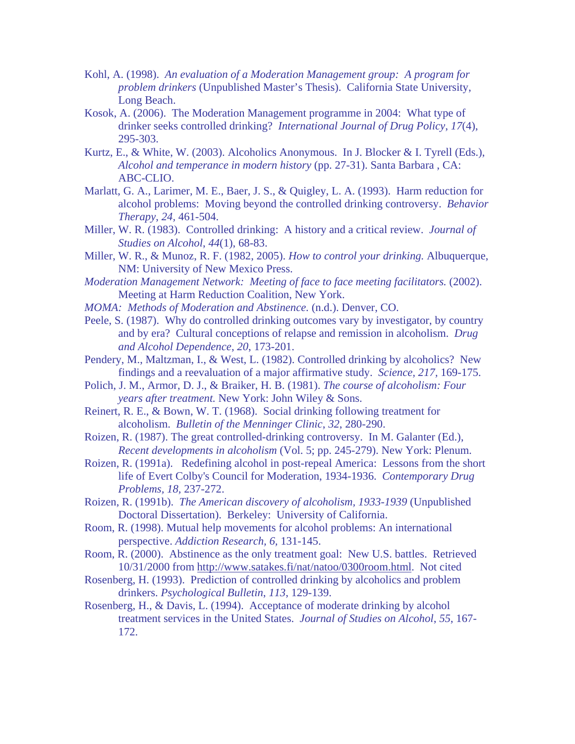- Kohl, A. (1998). *An evaluation of a Moderation Management group: A program for problem drinkers* (Unpublished Master's Thesis). California State University, Long Beach.
- Kosok, A. (2006). The Moderation Management programme in 2004: What type of drinker seeks controlled drinking? *International Journal of Drug Policy*, *17*(4), 295-303.
- Kurtz, E., & White, W. (2003). Alcoholics Anonymous. In J. Blocker & I. Tyrell (Eds.), *Alcohol and temperance in modern history* (pp. 27-31). Santa Barbara , CA: ABC-CLIO.
- Marlatt, G. A., Larimer, M. E., Baer, J. S., & Quigley, L. A. (1993). Harm reduction for alcohol problems: Moving beyond the controlled drinking controversy. *Behavior Therapy*, *24,* 461-504.
- Miller, W. R. (1983). Controlled drinking: A history and a critical review. *Journal of Studies on Alcohol*, *44*(1), 68-83.
- Miller, W. R., & Munoz, R. F. (1982, 2005). *How to control your drinking.* Albuquerque, NM: University of New Mexico Press.
- *Moderation Management Network: Meeting of face to face meeting facilitators.* (2002). Meeting at Harm Reduction Coalition, New York.
- *MOMA: Methods of Moderation and Abstinence.* (n.d.). Denver, CO.
- Peele, S. (1987). Why do controlled drinking outcomes vary by investigator, by country and by era? Cultural conceptions of relapse and remission in alcoholism. *Drug and Alcohol Dependence*, *20*, 173-201.
- Pendery, M., Maltzman, I., & West, L. (1982). Controlled drinking by alcoholics? New findings and a reevaluation of a major affirmative study. *Science, 217,* 169-175.
- Polich, J. M., Armor, D. J., & Braiker, H. B. (1981). *The course of alcoholism: Four years after treatment.* New York: John Wiley & Sons.
- Reinert, R. E., & Bown, W. T. (1968). Social drinking following treatment for alcoholism. *Bulletin of the Menninger Clinic*, *32*, 280-290.
- Roizen, R. (1987). The great controlled-drinking controversy. In M. Galanter (Ed.), *Recent developments in alcoholism* (Vol. 5; pp. 245-279). New York: Plenum.
- Roizen, R. (1991a). Redefining alcohol in post-repeal America: Lessons from the short life of Evert Colby's Council for Moderation, 1934-1936. *Contemporary Drug Problems, 18,* 237-272.
- Roizen, R. (1991b). *The American discovery of alcoholism, 1933-1939* (Unpublished Doctoral Dissertation). Berkeley: University of California.
- Room, R. (1998). Mutual help movements for alcohol problems: An international perspective. *Addiction Research, 6,* 131-145.
- Room, R. (2000). Abstinence as the only treatment goal: New U.S. battles. Retrieved 10/31/2000 from <http://www.satakes.fi/nat/natoo/0300room.html>. Not cited
- Rosenberg, H. (1993). Prediction of controlled drinking by alcoholics and problem drinkers. *Psychological Bulletin*, *113*, 129-139.
- Rosenberg, H., & Davis, L. (1994). Acceptance of moderate drinking by alcohol treatment services in the United States. *Journal of Studies on Alcohol*, *55*, 167- 172.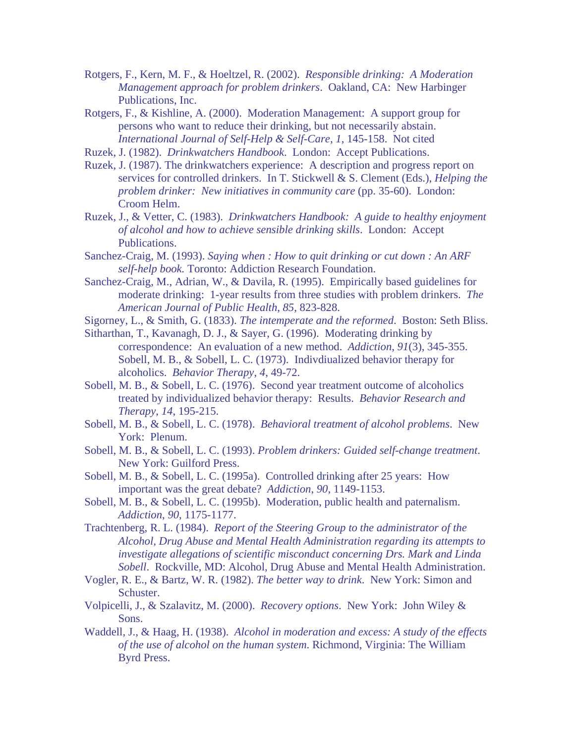Rotgers, F., Kern, M. F., & Hoeltzel, R. (2002). *Responsible drinking: A Moderation Management approach for problem drinkers*. Oakland, CA: New Harbinger Publications, Inc.

Rotgers, F., & Kishline, A. (2000). Moderation Management: A support group for persons who want to reduce their drinking, but not necessarily abstain. *International Journal of Self-Help & Self-Care*, *1*, 145-158. Not cited

Ruzek, J. (1982). *Drinkwatchers Handbook*. London: Accept Publications.

Ruzek, J. (1987). The drinkwatchers experience: A description and progress report on services for controlled drinkers. In T. Stickwell & S. Clement (Eds.), *Helping the problem drinker: New initiatives in community care* (pp. 35-60). London: Croom Helm.

Ruzek, J., & Vetter, C. (1983). *Drinkwatchers Handbook: A guide to healthy enjoyment of alcohol and how to achieve sensible drinking skills*. London: Accept Publications.

Sanchez-Craig, M. (1993). *Saying when : How to quit drinking or cut down : An ARF self-help book.* Toronto: Addiction Research Foundation.

Sanchez-Craig, M., Adrian, W., & Davila, R. (1995). Empirically based guidelines for moderate drinking: 1-year results from three studies with problem drinkers. *The American Journal of Public Health*, *85*, 823-828.

Sigorney, L., & Smith, G. (1833). *The intemperate and the reformed*. Boston: Seth Bliss.

Sitharthan, T., Kavanagh, D. J., & Sayer, G. (1996). Moderating drinking by correspondence: An evaluation of a new method. *Addiction*, *91*(3), 345-355. Sobell, M. B., & Sobell, L. C. (1973). Indivdiualized behavior therapy for alcoholics. *Behavior Therapy*, *4*, 49-72.

- Sobell, M. B., & Sobell, L. C. (1976). Second year treatment outcome of alcoholics treated by individualized behavior therapy: Results. *Behavior Research and Therapy*, *14*, 195-215.
- Sobell, M. B., & Sobell, L. C. (1978). *Behavioral treatment of alcohol problems*. New York: Plenum.
- Sobell, M. B., & Sobell, L. C. (1993). *Problem drinkers: Guided self-change treatment*. New York: Guilford Press.
- Sobell, M. B., & Sobell, L. C. (1995a). Controlled drinking after 25 years: How important was the great debate? *Addiction*, *90,* 1149-1153.
- Sobell, M. B., & Sobell, L. C. (1995b). Moderation, public health and paternalism. *Addiction*, *90*, 1175-1177.

Trachtenberg, R. L. (1984). *Report of the Steering Group to the administrator of the Alcohol, Drug Abuse and Mental Health Administration regarding its attempts to investigate allegations of scientific misconduct concerning Drs. Mark and Linda Sobell*. Rockville, MD: Alcohol, Drug Abuse and Mental Health Administration.

- Vogler, R. E., & Bartz, W. R. (1982). *The better way to drink*. New York: Simon and Schuster.
- Volpicelli, J., & Szalavitz, M. (2000). *Recovery options*. New York: John Wiley & Sons.
- Waddell, J., & Haag, H. (1938). *Alcohol in moderation and excess: A study of the effects of the use of alcohol on the human system*. Richmond, Virginia: The William Byrd Press.